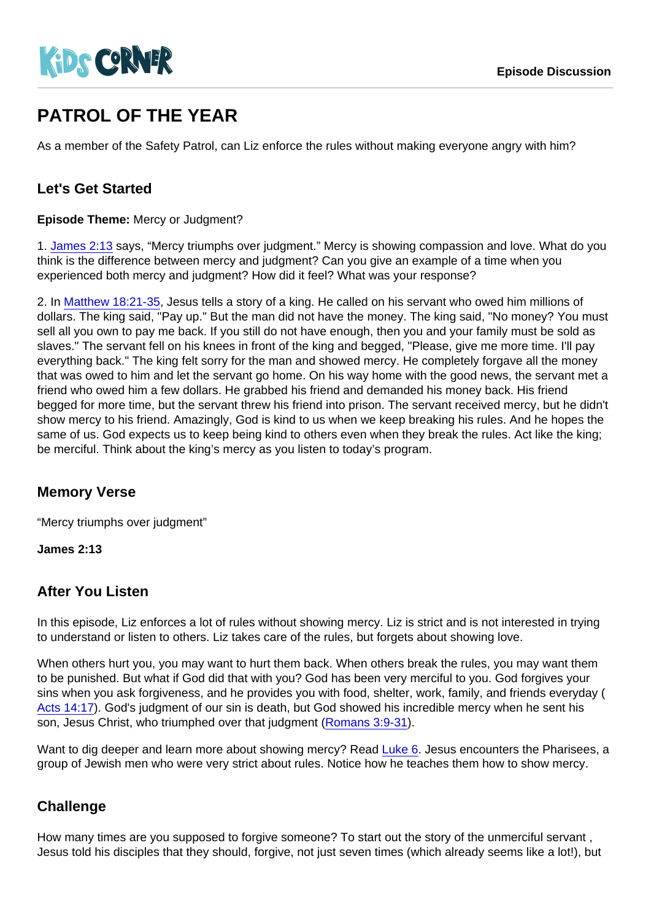# PATROL OF THE YEAR

As a member of the Safety Patrol, can Liz enforce the rules without making everyone angry with him?

## Let's Get Started

Episode Theme: Mercy or Judgment?

1. [James 2:13](https://www.biblegateway.com/passage/?search=James+2:13) says, "Mercy triumphs over judgment." Mercy is showing compassion and love. What do you think is the difference between mercy and judgment? Can you give an example of a time when you experienced both mercy and judgment? How did it feel? What was your response?

2. In [Matthew 18:21-35,](https://www.biblegateway.com/passage/?search=Matthew+18:21-35) Jesus tells a story of a king. He called on his servant who owed him millions of dollars. The king said, "Pay up." But the man did not have the money. The king said, "No money? You must sell all you own to pay me back. If you still do not have enough, then you and your family must be sold as slaves." The servant fell on his knees in front of the king and begged, "Please, give me more time. I'll pay everything back." The king felt sorry for the man and showed mercy. He completely forgave all the money that was owed to him and let the servant go home. On his way home with the good news, the servant met a friend who owed him a few dollars. He grabbed his friend and demanded his money back. His friend begged for more time, but the servant threw his friend into prison. The servant received mercy, but he didn't show mercy to his friend. Amazingly, God is kind to us when we keep breaking his rules. And he hopes the same of us. God expects us to keep being kind to others even when they break the rules. Act like the king; be merciful. Think about the king's mercy as you listen to today's program.

### Memory Verse

"Mercy triumphs over judgment"

James 2:13

### After You Listen

In this episode, Liz enforces a lot of rules without showing mercy. Liz is strict and is not interested in trying to understand or listen to others. Liz takes care of the rules, but forgets about showing love.

When others hurt you, you may want to hurt them back. When others break the rules, you may want them to be punished. But what if God did that with you? God has been very merciful to you. God forgives your sins when you ask forgiveness, and he provides you with food, shelter, work, family, and friends everyday ( [Acts 14:17\)](https://www.biblegateway.com/passage/?search=Acts+14:17). God's judgment of our sin is death, but God showed his incredible mercy when he sent his son, Jesus Christ, who triumphed over that judgment ([Romans 3:9-31\)](https://www.biblegateway.com/passage/?search=Romans+3:9-31).

Want to dig deeper and learn more about showing mercy? Read [Luke 6.](https://www.biblegateway.com/passage/?search=Luke+6) Jesus encounters the Pharisees, a group of Jewish men who were very strict about rules. Notice how he teaches them how to show mercy.

### **Challenge**

How many times are you supposed to forgive someone? To start out the story of the unmerciful servant , Jesus told his disciples that they should, forgive, not just seven times (which already seems like a lot!), but